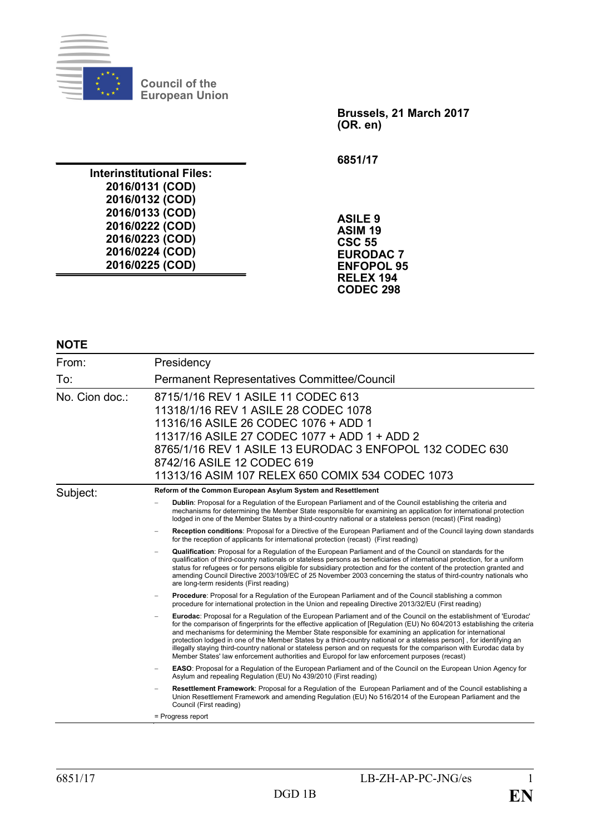

**Council of the European Union**

> **Brussels, 21 March 2017 (OR. en)**

**6851/17**

**Interinstitutional Files: 2016/0131 (COD) 2016/0132 (COD) 2016/0133 (COD) 2016/0222 (COD) 2016/0223 (COD) 2016/0224 (COD) 2016/0225 (COD)**

**ASILE 9 ASIM 19 CSC 55 EURODAC 7 ENFOPOL 95 RELEX 194 CODEC 298**

#### **NOTE**

| From:          | Presidency                                                                                                                                                                                                                                                                                                                                                                                                                                                                                                                                                                                                                                                                                                     |
|----------------|----------------------------------------------------------------------------------------------------------------------------------------------------------------------------------------------------------------------------------------------------------------------------------------------------------------------------------------------------------------------------------------------------------------------------------------------------------------------------------------------------------------------------------------------------------------------------------------------------------------------------------------------------------------------------------------------------------------|
| To:            | Permanent Representatives Committee/Council                                                                                                                                                                                                                                                                                                                                                                                                                                                                                                                                                                                                                                                                    |
| No. Cion doc.: | 8715/1/16 REV 1 ASILE 11 CODEC 613<br>11318/1/16 REV 1 ASILE 28 CODEC 1078<br>11316/16 ASILE 26 CODEC 1076 + ADD 1<br>11317/16 ASILE 27 CODEC 1077 + ADD 1 + ADD 2<br>8765/1/16 REV 1 ASILE 13 EURODAC 3 ENFOPOL 132 CODEC 630<br>8742/16 ASILE 12 CODEC 619<br>11313/16 ASIM 107 RELEX 650 COMIX 534 CODEC 1073                                                                                                                                                                                                                                                                                                                                                                                               |
| Subject:       | Reform of the Common European Asylum System and Resettlement                                                                                                                                                                                                                                                                                                                                                                                                                                                                                                                                                                                                                                                   |
|                | Dublin: Proposal for a Regulation of the European Parliament and of the Council establishing the criteria and<br>mechanisms for determining the Member State responsible for examining an application for international protection<br>lodged in one of the Member States by a third-country national or a stateless person (recast) (First reading)                                                                                                                                                                                                                                                                                                                                                            |
|                | Reception conditions: Proposal for a Directive of the European Parliament and of the Council laying down standards<br>for the reception of applicants for international protection (recast) (First reading)                                                                                                                                                                                                                                                                                                                                                                                                                                                                                                    |
|                | Qualification: Proposal for a Regulation of the European Parliament and of the Council on standards for the<br>qualification of third-country nationals or stateless persons as beneficiaries of international protection, for a uniform<br>status for refugees or for persons eligible for subsidiary protection and for the content of the protection granted and<br>amending Council Directive 2003/109/EC of 25 November 2003 concerning the status of third-country nationals who<br>are long-term residents (First reading)                                                                                                                                                                              |
|                | Procedure: Proposal for a Regulation of the European Parliament and of the Council stablishing a common<br>procedure for international protection in the Union and repealing Directive 2013/32/EU (First reading)                                                                                                                                                                                                                                                                                                                                                                                                                                                                                              |
|                | Eurodac: Proposal for a Regulation of the European Parliament and of the Council on the establishment of 'Eurodac'<br>for the comparison of fingerprints for the effective application of [Regulation (EU) No 604/2013 establishing the criteria<br>and mechanisms for determining the Member State responsible for examining an application for international<br>protection lodged in one of the Member States by a third-country national or a stateless person], for identifying an<br>illegally staying third-country national or stateless person and on requests for the comparison with Eurodac data by<br>Member States' law enforcement authorities and Europol for law enforcement purposes (recast) |
|                | <b>EASO:</b> Proposal for a Regulation of the European Parliament and of the Council on the European Union Agency for<br>Asylum and repealing Regulation (EU) No 439/2010 (First reading)                                                                                                                                                                                                                                                                                                                                                                                                                                                                                                                      |
|                | Resettlement Framework: Proposal for a Regulation of the European Parliament and of the Council establishing a<br>Union Resettlement Framework and amending Regulation (EU) No 516/2014 of the European Parliament and the<br>Council (First reading)                                                                                                                                                                                                                                                                                                                                                                                                                                                          |
|                | = Progress report                                                                                                                                                                                                                                                                                                                                                                                                                                                                                                                                                                                                                                                                                              |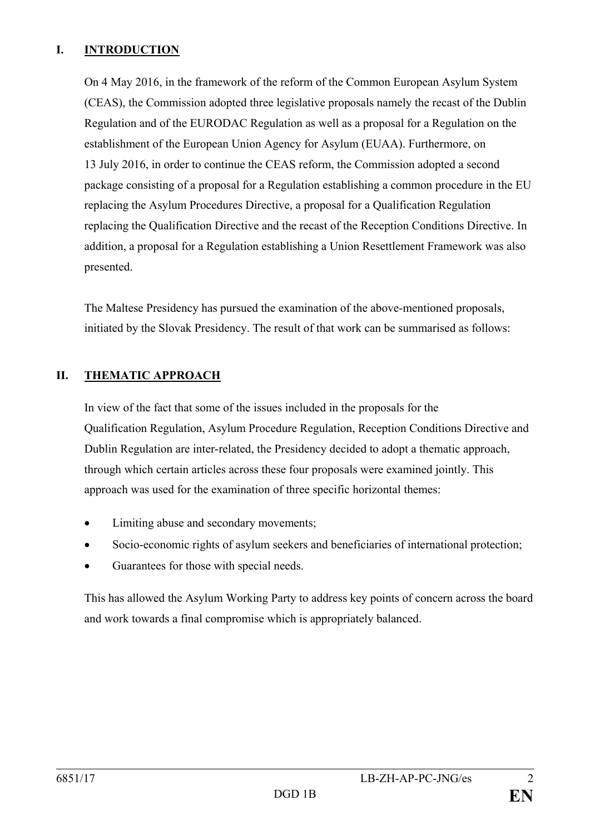# **I. INTRODUCTION**

On 4 May 2016, in the framework of the reform of the Common European Asylum System (CEAS), the Commission adopted three legislative proposals namely the recast of the Dublin Regulation and of the EURODAC Regulation as well as a proposal for a Regulation on the establishment of the European Union Agency for Asylum (EUAA). Furthermore, on 13 July 2016, in order to continue the CEAS reform, the Commission adopted a second package consisting of a proposal for a Regulation establishing a common procedure in the EU replacing the Asylum Procedures Directive, a proposal for a Qualification Regulation replacing the Qualification Directive and the recast of the Reception Conditions Directive. In addition, a proposal for a Regulation establishing a Union Resettlement Framework was also presented.

The Maltese Presidency has pursued the examination of the above-mentioned proposals, initiated by the Slovak Presidency. The result of that work can be summarised as follows:

# **II. THEMATIC APPROACH**

In view of the fact that some of the issues included in the proposals for the Qualification Regulation, Asylum Procedure Regulation, Reception Conditions Directive and Dublin Regulation are inter-related, the Presidency decided to adopt a thematic approach, through which certain articles across these four proposals were examined jointly. This approach was used for the examination of three specific horizontal themes:

- Limiting abuse and secondary movements;
- Socio-economic rights of asylum seekers and beneficiaries of international protection;
- Guarantees for those with special needs.

This has allowed the Asylum Working Party to address key points of concern across the board and work towards a final compromise which is appropriately balanced.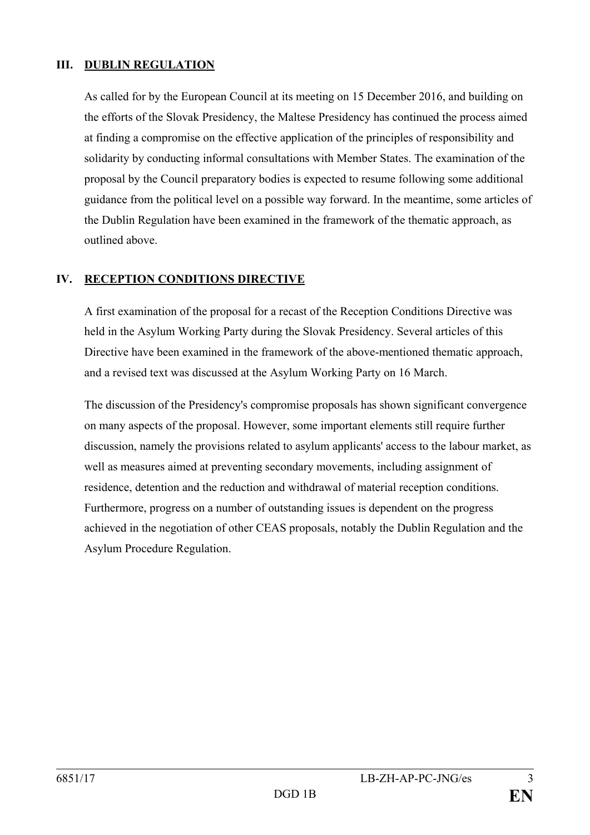### **III. DUBLIN REGULATION**

As called for by the European Council at its meeting on 15 December 2016, and building on the efforts of the Slovak Presidency, the Maltese Presidency has continued the process aimed at finding a compromise on the effective application of the principles of responsibility and solidarity by conducting informal consultations with Member States. The examination of the proposal by the Council preparatory bodies is expected to resume following some additional guidance from the political level on a possible way forward. In the meantime, some articles of the Dublin Regulation have been examined in the framework of the thematic approach, as outlined above.

### **IV. RECEPTION CONDITIONS DIRECTIVE**

A first examination of the proposal for a recast of the Reception Conditions Directive was held in the Asylum Working Party during the Slovak Presidency. Several articles of this Directive have been examined in the framework of the above-mentioned thematic approach, and a revised text was discussed at the Asylum Working Party on 16 March.

The discussion of the Presidency's compromise proposals has shown significant convergence on many aspects of the proposal. However, some important elements still require further discussion, namely the provisions related to asylum applicants' access to the labour market, as well as measures aimed at preventing secondary movements, including assignment of residence, detention and the reduction and withdrawal of material reception conditions. Furthermore, progress on a number of outstanding issues is dependent on the progress achieved in the negotiation of other CEAS proposals, notably the Dublin Regulation and the Asylum Procedure Regulation.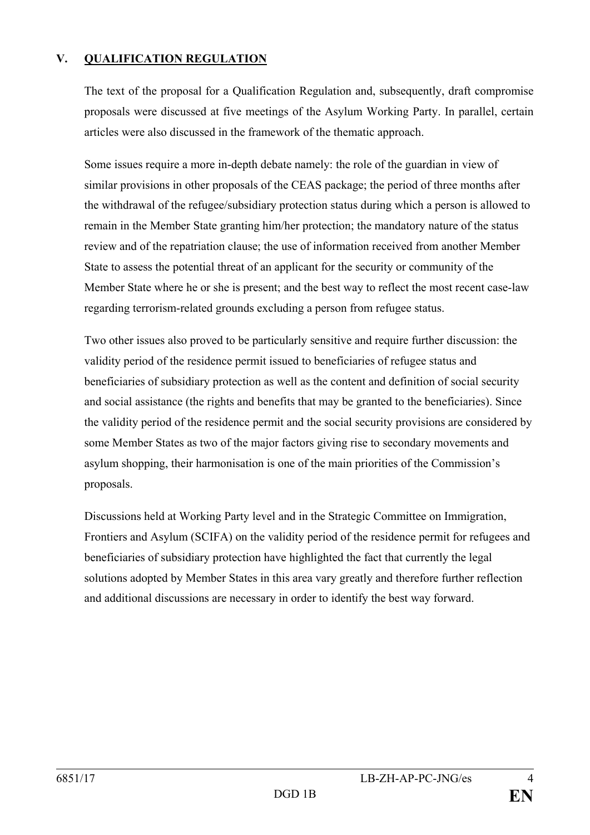# **V. QUALIFICATION REGULATION**

The text of the proposal for a Qualification Regulation and, subsequently, draft compromise proposals were discussed at five meetings of the Asylum Working Party. In parallel, certain articles were also discussed in the framework of the thematic approach.

Some issues require a more in-depth debate namely: the role of the guardian in view of similar provisions in other proposals of the CEAS package; the period of three months after the withdrawal of the refugee/subsidiary protection status during which a person is allowed to remain in the Member State granting him/her protection; the mandatory nature of the status review and of the repatriation clause; the use of information received from another Member State to assess the potential threat of an applicant for the security or community of the Member State where he or she is present; and the best way to reflect the most recent case-law regarding terrorism-related grounds excluding a person from refugee status.

Two other issues also proved to be particularly sensitive and require further discussion: the validity period of the residence permit issued to beneficiaries of refugee status and beneficiaries of subsidiary protection as well as the content and definition of social security and social assistance (the rights and benefits that may be granted to the beneficiaries). Since the validity period of the residence permit and the social security provisions are considered by some Member States as two of the major factors giving rise to secondary movements and asylum shopping, their harmonisation is one of the main priorities of the Commission's proposals.

Discussions held at Working Party level and in the Strategic Committee on Immigration, Frontiers and Asylum (SCIFA) on the validity period of the residence permit for refugees and beneficiaries of subsidiary protection have highlighted the fact that currently the legal solutions adopted by Member States in this area vary greatly and therefore further reflection and additional discussions are necessary in order to identify the best way forward.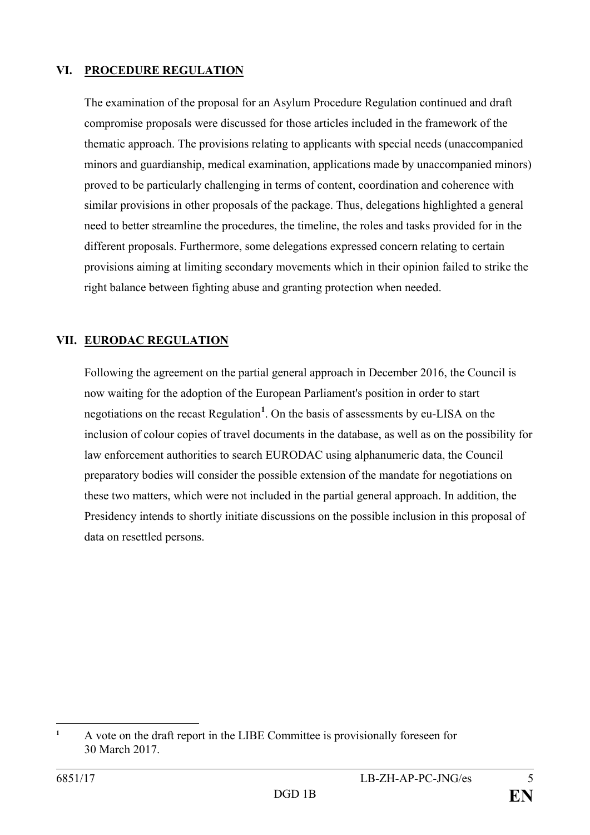#### **VI. PROCEDURE REGULATION**

The examination of the proposal for an Asylum Procedure Regulation continued and draft compromise proposals were discussed for those articles included in the framework of the thematic approach. The provisions relating to applicants with special needs (unaccompanied minors and guardianship, medical examination, applications made by unaccompanied minors) proved to be particularly challenging in terms of content, coordination and coherence with similar provisions in other proposals of the package. Thus, delegations highlighted a general need to better streamline the procedures, the timeline, the roles and tasks provided for in the different proposals. Furthermore, some delegations expressed concern relating to certain provisions aiming at limiting secondary movements which in their opinion failed to strike the right balance between fighting abuse and granting protection when needed.

# **VII. EURODAC REGULATION**

Following the agreement on the partial general approach in December 2016, the Council is now waiting for the adoption of the European Parliament's position in order to start negotiations on the recast Regulation**[1](#page-4-0)** . On the basis of assessments by eu-LISA on the inclusion of colour copies of travel documents in the database, as well as on the possibility for law enforcement authorities to search EURODAC using alphanumeric data, the Council preparatory bodies will consider the possible extension of the mandate for negotiations on these two matters, which were not included in the partial general approach. In addition, the Presidency intends to shortly initiate discussions on the possible inclusion in this proposal of data on resettled persons.

<span id="page-4-0"></span> $\mathbf{1}$ **<sup>1</sup>** A vote on the draft report in the LIBE Committee is provisionally foreseen for 30 March 2017.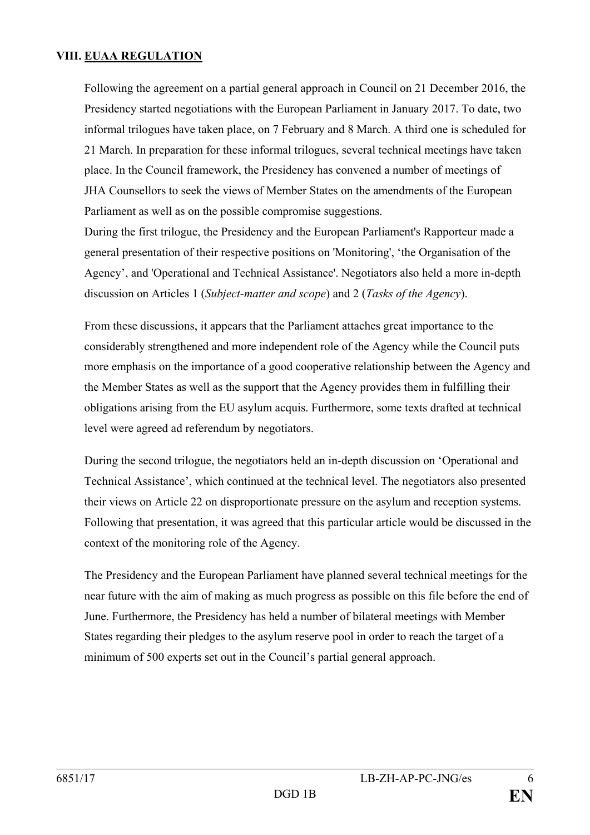## **VIII. EUAA REGULATION**

Following the agreement on a partial general approach in Council on 21 December 2016, the Presidency started negotiations with the European Parliament in January 2017. To date, two informal trilogues have taken place, on 7 February and 8 March. A third one is scheduled for 21 March. In preparation for these informal trilogues, several technical meetings have taken place. In the Council framework, the Presidency has convened a number of meetings of JHA Counsellors to seek the views of Member States on the amendments of the European Parliament as well as on the possible compromise suggestions.

During the first trilogue, the Presidency and the European Parliament's Rapporteur made a general presentation of their respective positions on 'Monitoring', 'the Organisation of the Agency', and 'Operational and Technical Assistance'. Negotiators also held a more in-depth discussion on Articles 1 (*Subject-matter and scope*) and 2 (*Tasks of the Agency*).

From these discussions, it appears that the Parliament attaches great importance to the considerably strengthened and more independent role of the Agency while the Council puts more emphasis on the importance of a good cooperative relationship between the Agency and the Member States as well as the support that the Agency provides them in fulfilling their obligations arising from the EU asylum acquis. Furthermore, some texts drafted at technical level were agreed ad referendum by negotiators.

During the second trilogue, the negotiators held an in-depth discussion on 'Operational and Technical Assistance', which continued at the technical level. The negotiators also presented their views on Article 22 on disproportionate pressure on the asylum and reception systems. Following that presentation, it was agreed that this particular article would be discussed in the context of the monitoring role of the Agency.

The Presidency and the European Parliament have planned several technical meetings for the near future with the aim of making as much progress as possible on this file before the end of June. Furthermore, the Presidency has held a number of bilateral meetings with Member States regarding their pledges to the asylum reserve pool in order to reach the target of a minimum of 500 experts set out in the Council's partial general approach.